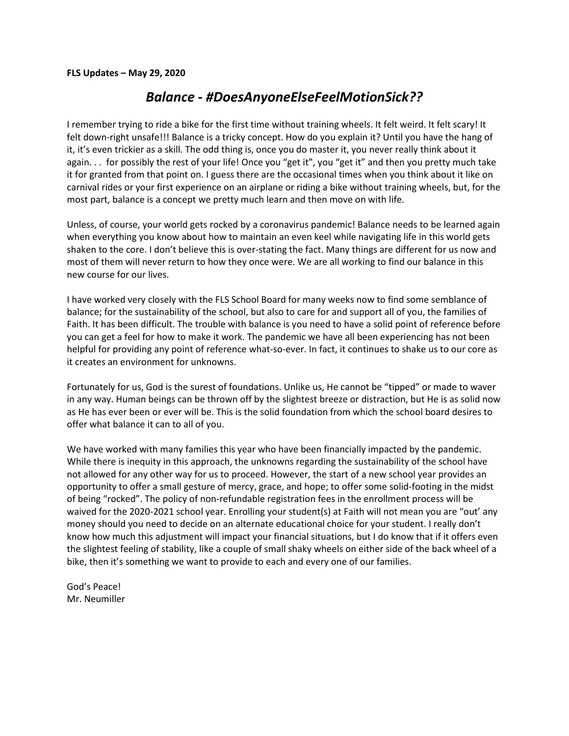### *Balance - #DoesAnyoneElseFeelMotionSick??*

I remember trying to ride a bike for the first time without training wheels. It felt weird. It felt scary! It felt down-right unsafe!!! Balance is a tricky concept. How do you explain it? Until you have the hang of it, it's even trickier as a skill. The odd thing is, once you do master it, you never really think about it again. . . for possibly the rest of your life! Once you "get it", you "get it" and then you pretty much take it for granted from that point on. I guess there are the occasional times when you think about it like on carnival rides or your first experience on an airplane or riding a bike without training wheels, but, for the most part, balance is a concept we pretty much learn and then move on with life.

Unless, of course, your world gets rocked by a coronavirus pandemic! Balance needs to be learned again when everything you know about how to maintain an even keel while navigating life in this world gets shaken to the core. I don't believe this is over-stating the fact. Many things are different for us now and most of them will never return to how they once were. We are all working to find our balance in this new course for our lives.

I have worked very closely with the FLS School Board for many weeks now to find some semblance of balance; for the sustainability of the school, but also to care for and support all of you, the families of Faith. It has been difficult. The trouble with balance is you need to have a solid point of reference before you can get a feel for how to make it work. The pandemic we have all been experiencing has not been helpful for providing any point of reference what-so-ever. In fact, it continues to shake us to our core as it creates an environment for unknowns.

Fortunately for us, God is the surest of foundations. Unlike us, He cannot be "tipped" or made to waver in any way. Human beings can be thrown off by the slightest breeze or distraction, but He is as solid now as He has ever been or ever will be. This is the solid foundation from which the school board desires to offer what balance it can to all of you.

We have worked with many families this year who have been financially impacted by the pandemic. While there is inequity in this approach, the unknowns regarding the sustainability of the school have not allowed for any other way for us to proceed. However, the start of a new school year provides an opportunity to offer a small gesture of mercy, grace, and hope; to offer some solid-footing in the midst of being "rocked". The policy of non-refundable registration fees in the enrollment process will be waived for the 2020-2021 school year. Enrolling your student(s) at Faith will not mean you are "out' any money should you need to decide on an alternate educational choice for your student. I really don't know how much this adjustment will impact your financial situations, but I do know that if it offers even the slightest feeling of stability, like a couple of small shaky wheels on either side of the back wheel of a bike, then it's something we want to provide to each and every one of our families.

God's Peace! Mr. Neumiller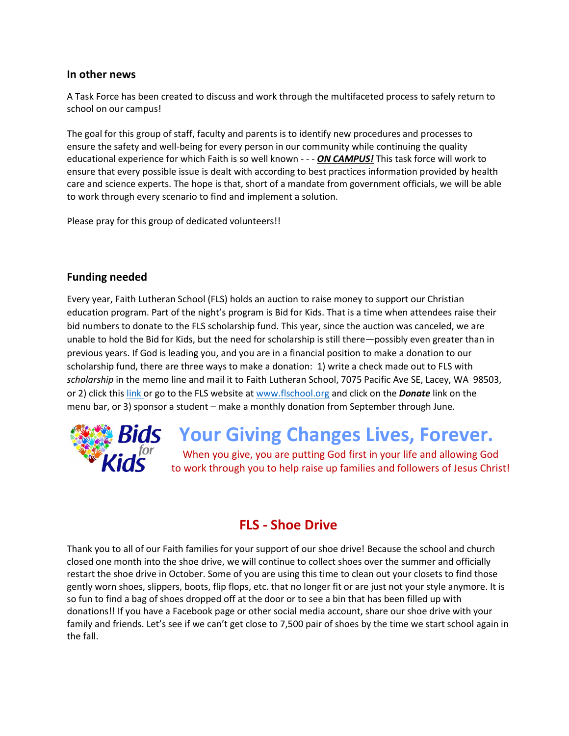### **In other news**

A Task Force has been created to discuss and work through the multifaceted process to safely return to school on our campus!

The goal for this group of staff, faculty and parents is to identify new procedures and processes to ensure the safety and well-being for every person in our community while continuing the quality educational experience for which Faith is so well known - - - *ON CAMPUS!* This task force will work to ensure that every possible issue is dealt with according to best practices information provided by health care and science experts. The hope is that, short of a mandate from government officials, we will be able to work through every scenario to find and implement a solution.

Please pray for this group of dedicated volunteers!!

### **Funding needed**

Every year, Faith Lutheran School (FLS) holds an auction to raise money to support our Christian education program. Part of the night's program is Bid for Kids. That is a time when attendees raise their bid numbers to donate to the FLS scholarship fund. This year, since the auction was canceled, we are unable to hold the Bid for Kids, but the need for scholarship is still there—possibly even greater than in previous years. If God is leading you, and you are in a financial position to make a donation to our scholarship fund, there are three ways to make a donation: 1) write a check made out to FLS with *scholarship* in the memo line and mail it to Faith Lutheran School, 7075 Pacific Ave SE, Lacey, WA 98503, or 2) click this [link o](https://faithlutheranlacey.ejoinme.org/MyPages/DonationPage/tabid/1107017/Default.aspx)r go to the FLS website a[t www.flschool.org](http://www.flschool.org/) and click on the *Donate* link on the menu bar, or 3) sponsor a student – make a monthly donation from September through June.



# **Your Giving Changes Lives, Forever.**

When you give, you are putting God first in your life and allowing God to work through you to help raise up families and followers of Jesus Christ!

## **FLS - Shoe Drive**

Thank you to all of our Faith families for your support of our shoe drive! Because the school and church closed one month into the shoe drive, we will continue to collect shoes over the summer and officially restart the shoe drive in October. Some of you are using this time to clean out your closets to find those gently worn shoes, slippers, boots, flip flops, etc. that no longer fit or are just not your style anymore. It is so fun to find a bag of shoes dropped off at the door or to see a bin that has been filled up with donations!! If you have a Facebook page or other social media account, share our shoe drive with your family and friends. Let's see if we can't get close to 7,500 pair of shoes by the time we start school again in the fall.